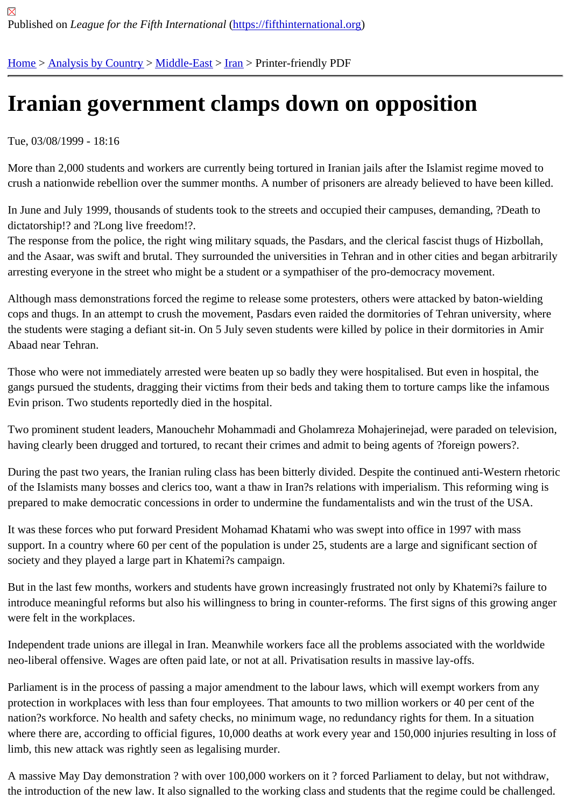## [Iran](https://fifthinternational.org/)[ian govern](https://fifthinternational.org/category/1)[ment c](https://fifthinternational.org/category/1/178)[lam](https://fifthinternational.org/category/1/178/182)ps down on opposition

Tue, 03/08/1999 - 18:16

More than 2,000 students and workers are currently being tortured in Iranian jails after the Islamist regime moved crush a nationwide rebellion over the summer months. A number of prisoners are already believed to have been k

In June and July 1999, thousands of students took to the streets and occupied their campuses, demanding, ?Deat dictatorship!? and ?Long live freedom!?.

The response from the police, the right wing military squads, the Pasdars, and the clerical fascist thugs of Hizbolla and the Asaar, was swift and brutal. They surrounded the universities in Tehran and in other cities and began arbit arresting everyone in the street who might be a student or a sympathiser of the pro-democracy movement.

Although mass demonstrations forced the regime to release some protesters, others were attacked by baton-wield cops and thugs. In an attempt to crush the movement, Pasdars even raided the dormitories of Tehran university, w the students were staging a defiant sit-in. On 5 July seven students were killed by police in their dormitories in Am Abaad near Tehran.

Those who were not immediately arrested were beaten up so badly they were hospitalised. But even in hospital, th gangs pursued the students, dragging their victims from their beds and taking them to torture camps like the infam Evin prison. Two students reportedly died in the hospital.

Two prominent student leaders, Manouchehr Mohammadi and Gholamreza Mohajerinejad, were paraded on telev having clearly been drugged and tortured, to recant their crimes and admit to being agents of ?foreign powers?.

During the past two years, the Iranian ruling class has been bitterly divided. Despite the continued anti-Western rh of the Islamists many bosses and clerics too, want a thaw in Iran?s relations with imperialism. This reforming wing prepared to make democratic concessions in order to undermine the fundamentalists and win the trust of the USA.

It was these forces who put forward President Mohamad Khatami who was swept into office in 1997 with mass support. In a country where 60 per cent of the population is under 25, students are a large and significant section o society and they played a large part in Khatemi?s campaign.

But in the last few months, workers and students have grown increasingly frustrated not only by Khatemi?s failure introduce meaningful reforms but also his willingness to bring in counter-reforms. The first signs of this growing an were felt in the workplaces.

Independent trade unions are illegal in Iran. Meanwhile workers face all the problems associated with the worldwid neo-liberal offensive. Wages are often paid late, or not at all. Privatisation results in massive lay-offs.

Parliament is in the process of passing a major amendment to the labour laws, which will exempt workers from any protection in workplaces with less than four employees. That amounts to two million workers or 40 per cent of the nation?s workforce. No health and safety checks, no minimum wage, no redundancy rights for them. In a situation where there are, according to official figures, 10,000 deaths at work every year and 150,000 injuries resulting in lo limb, this new attack was rightly seen as legalising murder.

A massive May Day demonstration ? with over 100,000 workers on it ? forced Parliament to delay, but not withdra the introduction of the new law. It also signalled to the working class and students that the regime could be challer